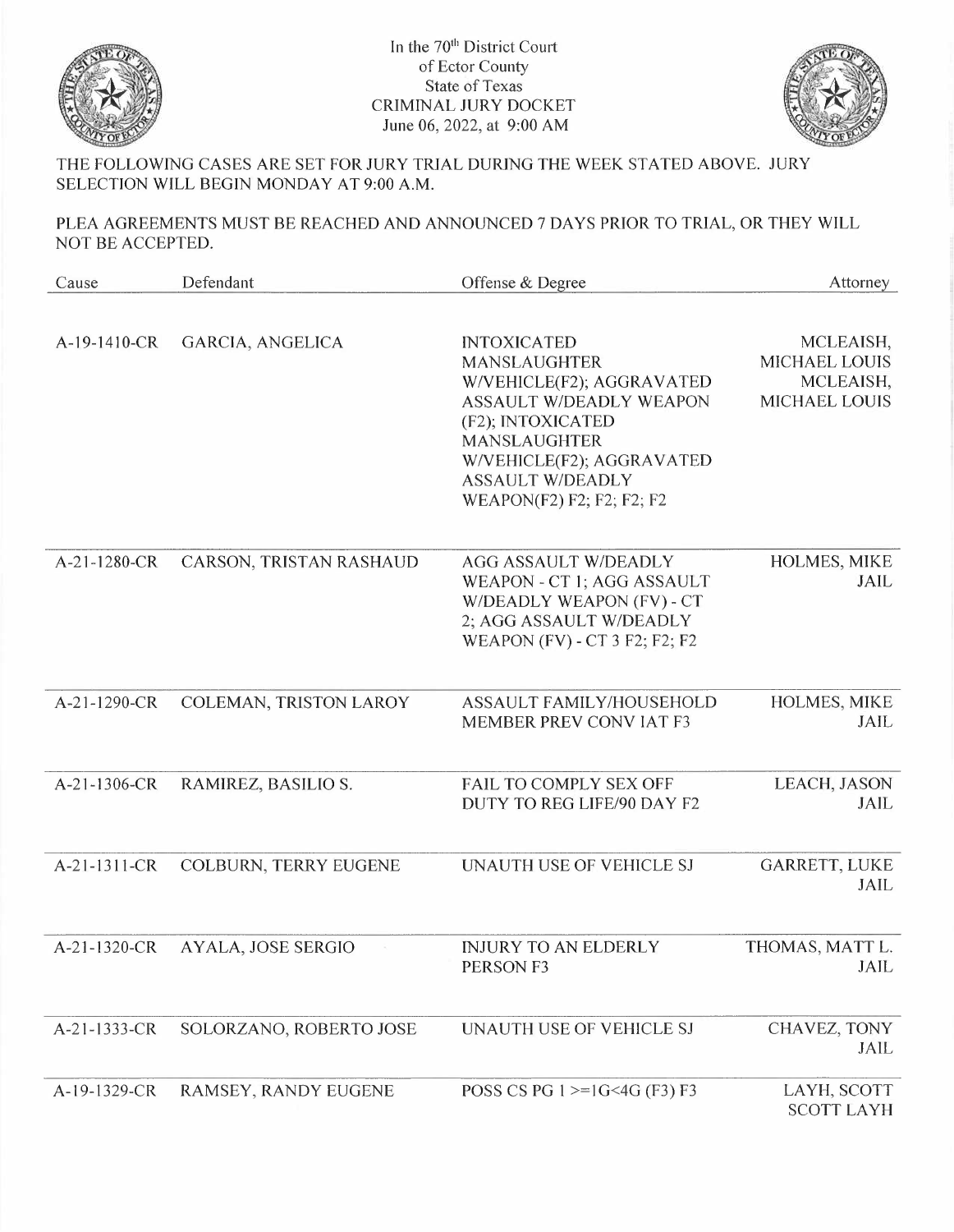

In the 70<sup>th</sup> District Court of Ector County State of Texas CRIMINAL JURY DOCKET June 06, 2022, at 9:00 AM



THE FOLLOWING CASES ARE SET FOR JURY TRIAL DURING THE WEEK STATED ABOVE. JURY SELECTION WILL BEGIN MONDAY AT 9:00 A.M.

PLEA AGREEMENTS MUST BE REACHED AND ANNOUNCED 7 DAYS PRIOR TO TRIAL, OR THEY WILL NOT BE ACCEPTED.

| Cause        | Defendant               | Offense & Degree                                                                                                                                                                                                                          | Attorney                                                               |
|--------------|-------------------------|-------------------------------------------------------------------------------------------------------------------------------------------------------------------------------------------------------------------------------------------|------------------------------------------------------------------------|
| A-19-1410-CR | GARCIA, ANGELICA        | <b>INTOXICATED</b><br><b>MANSLAUGHTER</b><br>W/VEHICLE(F2); AGGRAVATED<br><b>ASSAULT W/DEADLY WEAPON</b><br>(F2); INTOXICATED<br><b>MANSLAUGHTER</b><br>W/VEHICLE(F2); AGGRAVATED<br><b>ASSAULT W/DEADLY</b><br>WEAPON(F2) F2; F2; F2; F2 | MCLEAISH,<br><b>MICHAEL LOUIS</b><br>MCLEAISH,<br><b>MICHAEL LOUIS</b> |
| A-21-1280-CR | CARSON, TRISTAN RASHAUD | <b>AGG ASSAULT W/DEADLY</b><br>WEAPON - CT 1; AGG ASSAULT<br>W/DEADLY WEAPON (FV) - CT<br>2; AGG ASSAULT W/DEADLY<br><b>WEAPON (FV) - CT 3 F2; F2; F2</b>                                                                                 | HOLMES, MIKE<br>JAIL                                                   |
| A-21-1290-CR | COLEMAN, TRISTON LAROY  | ASSAULT FAMILY/HOUSEHOLD<br><b>MEMBER PREV CONVIAT F3</b>                                                                                                                                                                                 | HOLMES, MIKE<br><b>JAIL</b>                                            |
| A-21-1306-CR | RAMIREZ, BASILIO S.     | <b>FAIL TO COMPLY SEX OFF</b><br>DUTY TO REG LIFE/90 DAY F2                                                                                                                                                                               | LEACH, JASON<br><b>JAIL</b>                                            |
| A-21-1311-CR | COLBURN, TERRY EUGENE   | UNAUTH USE OF VEHICLE SJ                                                                                                                                                                                                                  | <b>GARRETT, LUKE</b><br>JAIL                                           |
| A-21-1320-CR | AYALA, JOSE SERGIO      | <b>INJURY TO AN ELDERLY</b><br>PERSON F3                                                                                                                                                                                                  | THOMAS, MATT L.<br>JAIL                                                |
| A-21-1333-CR | SOLORZANO, ROBERTO JOSE | UNAUTH USE OF VEHICLE SJ                                                                                                                                                                                                                  | CHAVEZ, TONY<br>JAIL                                                   |
| A-19-1329-CR | RAMSEY, RANDY EUGENE    | POSS CS PG $1 \geq 1$ G <4G (F3) F3                                                                                                                                                                                                       | LAYH, SCOTT<br><b>SCOTT LAYH</b>                                       |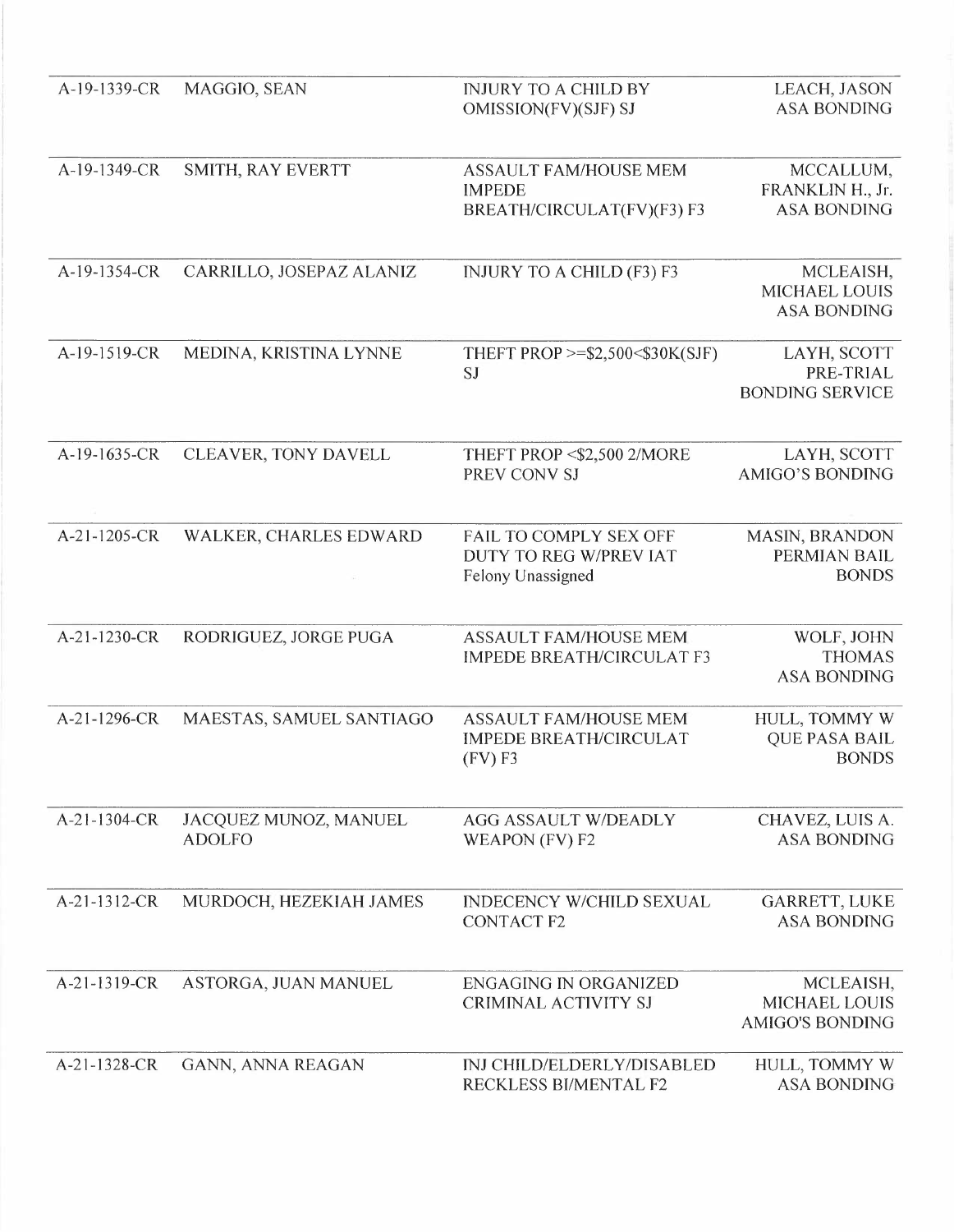| A-19-1339-CR   | MAGGIO, SEAN                           | <b>INJURY TO A CHILD BY</b><br>OMISSION(FV)(SJF) SJ                         | LEACH, JASON<br><b>ASA BONDING</b>                          |
|----------------|----------------------------------------|-----------------------------------------------------------------------------|-------------------------------------------------------------|
| A-19-1349-CR   | SMITH, RAY EVERTT                      | <b>ASSAULT FAM/HOUSE MEM</b><br><b>IMPEDE</b><br>BREATH/CIRCULAT(FV)(F3) F3 | MCCALLUM,<br>FRANKLIN H., Jr.<br><b>ASA BONDING</b>         |
| A-19-1354-CR   | CARRILLO, JOSEPAZ ALANIZ               | INJURY TO A CHILD (F3) F3                                                   | MCLEAISH,<br><b>MICHAEL LOUIS</b><br><b>ASA BONDING</b>     |
| A-19-1519-CR   | MEDINA, KRISTINA LYNNE                 | THEFT PROP >=\$2,500<\$30K(SJF)<br>SJ                                       | LAYH, SCOTT<br>PRE-TRIAL<br><b>BONDING SERVICE</b>          |
| A-19-1635-CR   | CLEAVER, TONY DAVELL                   | THEFT PROP <\$2,500 2/MORE<br>PREV CONV SJ                                  | LAYH, SCOTT<br><b>AMIGO'S BONDING</b>                       |
| A-21-1205-CR   | WALKER, CHARLES EDWARD                 | FAIL TO COMPLY SEX OFF<br>DUTY TO REG W/PREV IAT<br>Felony Unassigned       | <b>MASIN, BRANDON</b><br>PERMIAN BAIL<br><b>BONDS</b>       |
| A-21-1230-CR   | RODRIGUEZ, JORGE PUGA                  | <b>ASSAULT FAM/HOUSE MEM</b><br><b>IMPEDE BREATH/CIRCULAT F3</b>            | WOLF, JOHN<br><b>THOMAS</b><br><b>ASA BONDING</b>           |
| A-21-1296-CR   | MAESTAS, SAMUEL SANTIAGO               | <b>ASSAULT FAM/HOUSE MEM</b><br><b>IMPEDE BREATH/CIRCULAT</b><br>(FV)F3     | HULL, TOMMY W<br><b>QUE PASA BAIL</b><br><b>BONDS</b>       |
| $A-21-1304-CR$ | JACQUEZ MUNOZ, MANUEL<br><b>ADOLFO</b> | <b>AGG ASSAULT W/DEADLY</b><br>WEAPON (FV) F2                               | CHAVEZ, LUIS A.<br><b>ASA BONDING</b>                       |
| A-21-1312-CR   | MURDOCH, HEZEKIAH JAMES                | <b>INDECENCY W/CHILD SEXUAL</b><br><b>CONTACT F2</b>                        | <b>GARRETT, LUKE</b><br><b>ASA BONDING</b>                  |
| A-21-1319-CR   | ASTORGA, JUAN MANUEL                   | <b>ENGAGING IN ORGANIZED</b><br><b>CRIMINAL ACTIVITY SJ</b>                 | MCLEAISH,<br><b>MICHAEL LOUIS</b><br><b>AMIGO'S BONDING</b> |
| A-21-1328-CR   | GANN, ANNA REAGAN                      | <b>INJ CHILD/ELDERLY/DISABLED</b><br>RECKLESS BI/MENTAL F2                  | HULL, TOMMY W<br><b>ASA BONDING</b>                         |